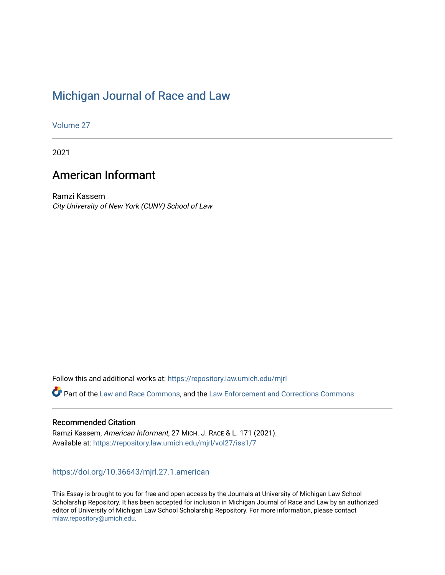# [Michigan Journal of Race and Law](https://repository.law.umich.edu/mjrl)

[Volume 27](https://repository.law.umich.edu/mjrl/vol27)

2021

# American Informant

Ramzi Kassem City University of New York (CUNY) School of Law

Follow this and additional works at: [https://repository.law.umich.edu/mjrl](https://repository.law.umich.edu/mjrl?utm_source=repository.law.umich.edu%2Fmjrl%2Fvol27%2Fiss1%2F7&utm_medium=PDF&utm_campaign=PDFCoverPages) 

Part of the [Law and Race Commons,](https://network.bepress.com/hgg/discipline/1300?utm_source=repository.law.umich.edu%2Fmjrl%2Fvol27%2Fiss1%2F7&utm_medium=PDF&utm_campaign=PDFCoverPages) and the [Law Enforcement and Corrections Commons](https://network.bepress.com/hgg/discipline/854?utm_source=repository.law.umich.edu%2Fmjrl%2Fvol27%2Fiss1%2F7&utm_medium=PDF&utm_campaign=PDFCoverPages)

## Recommended Citation

Ramzi Kassem, American Informant, 27 MICH. J. RACE & L. 171 (2021). Available at: [https://repository.law.umich.edu/mjrl/vol27/iss1/7](https://repository.law.umich.edu/mjrl/vol27/iss1/7?utm_source=repository.law.umich.edu%2Fmjrl%2Fvol27%2Fiss1%2F7&utm_medium=PDF&utm_campaign=PDFCoverPages) 

<https://doi.org/10.36643/mjrl.27.1.american>

This Essay is brought to you for free and open access by the Journals at University of Michigan Law School Scholarship Repository. It has been accepted for inclusion in Michigan Journal of Race and Law by an authorized editor of University of Michigan Law School Scholarship Repository. For more information, please contact [mlaw.repository@umich.edu.](mailto:mlaw.repository@umich.edu)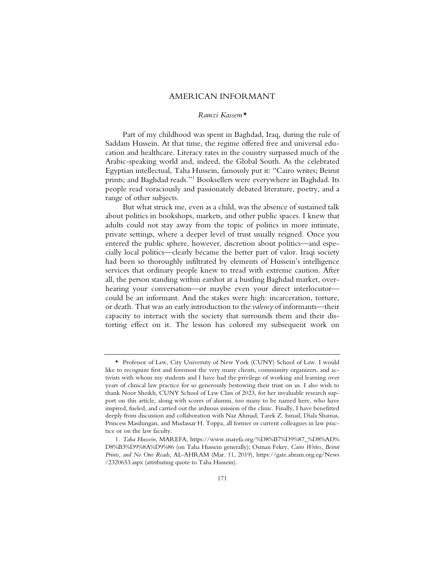## AMERICAN INFORMANT

## *Ramzi Kassem\**

Part of my childhood was spent in Baghdad, Iraq, during the rule of Saddam Hussein. At that time, the regime offered free and universal education and healthcare. Literacy rates in the country surpassed much of the Arabic-speaking world and, indeed, the Global South. As the celebrated Egyptian intellectual, Taha Hussein, famously put it: "Cairo writes; Beirut prints; and Baghdad reads."1 Booksellers were everywhere in Baghdad. Its people read voraciously and passionately debated literature, poetry, and a range of other subjects.

But what struck me, even as a child, was the absence of sustained talk about politics in bookshops, markets, and other public spaces. I knew that adults could not stay away from the topic of politics in more intimate, private settings, where a deeper level of trust usually reigned. Once you entered the public sphere, however, discretion about politics—and especially local politics—clearly became the better part of valor. Iraqi society had been so thoroughly infiltrated by elements of Hussein's intelligence services that ordinary people knew to tread with extreme caution. After all, the person standing within earshot at a bustling Baghdad market, overhearing your conversation—or maybe even your direct interlocutor could be an informant. And the stakes were high: incarceration, torture, or death. That was an early introduction to the *valency* of informants—their capacity to interact with the society that surrounds them and their distorting effect on it. The lesson has colored my subsequent work on

<sup>\*</sup> Professor of Law, City University of New York (CUNY) School of Law. I would like to recognize first and foremost the very many clients, community organizers, and activists with whom my students and I have had the privilege of working and learning over years of clinical law practice for so generously bestowing their trust on us. I also wish to thank Noor Sheikh, CUNY School of Law Class of 2023, for her invaluable research support on this article, along with scores of alumni, too many to be named here, who have inspired, fueled, and carried out the arduous mission of the clinic. Finally, I have benefitted deeply from discussion and collaboration with Naz Ahmad, Tarek Z. Ismail, Diala Shamas, Princess Masilungan, and Mudassar H. Toppa, all former or current colleagues in law practice or on the law faculty.

<sup>1</sup>*. Taha Hussein*, MAREFA, https://www.marefa.org/%D8%B7%D9%87\_%D8%AD% D8%B3%D9%8A%D9%86 (on Taha Hussein generally); Osman Fekry, *Cairo Writes, Beirut Prints, and No One Reads*, AL-AHRAM (Mar. 11, 2019), https://gate.ahram.org.eg/News /2320653.aspx (attributing quote to Taha Hussein).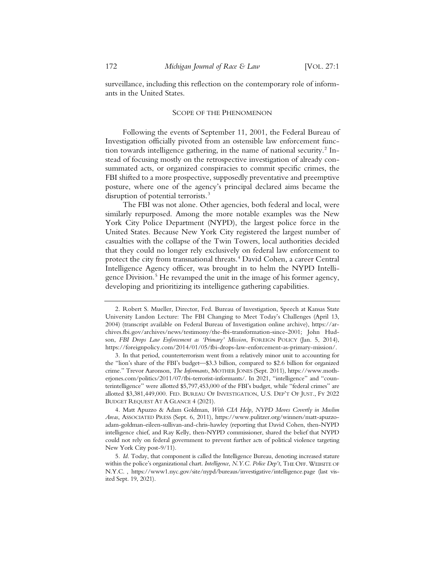surveillance, including this reflection on the contemporary role of informants in the United States.

#### SCOPE OF THE PHENOMENON

Following the events of September 11, 2001, the Federal Bureau of Investigation officially pivoted from an ostensible law enforcement function towards intelligence gathering, in the name of national security.<sup>2</sup> Instead of focusing mostly on the retrospective investigation of already consummated acts, or organized conspiracies to commit specific crimes, the FBI shifted to a more prospective, supposedly preventative and preemptive posture, where one of the agency's principal declared aims became the disruption of potential terrorists.<sup>3</sup>

The FBI was not alone. Other agencies, both federal and local, were similarly repurposed. Among the more notable examples was the New York City Police Department (NYPD), the largest police force in the United States. Because New York City registered the largest number of casualties with the collapse of the Twin Towers, local authorities decided that they could no longer rely exclusively on federal law enforcement to protect the city from transnational threats.<sup>4</sup> David Cohen, a career Central Intelligence Agency officer, was brought in to helm the NYPD Intelligence Division.<sup>5</sup> He revamped the unit in the image of his former agency, developing and prioritizing its intelligence gathering capabilities.

4. Matt Apuzzo & Adam Goldman, *With CIA Help, NYPD Moves Covertly in Muslim Areas*, ASSOCIATED PRESS (Sept. 6, 2011), https://www.pulitzer.org/winners/matt-apuzzoadam-goldman-eileen-sullivan-and-chris-hawley (reporting that David Cohen, then-NYPD intelligence chief, and Ray Kelly, then-NYPD commissioner, shared the belief that NYPD could not rely on federal government to prevent further acts of political violence targeting New York City post-9/11).

<sup>2.</sup> Robert S. Mueller, Director, Fed. Bureau of Investigation, Speech at Kansas State University Landon Lecture: The FBI Changing to Meet Today's Challenges (April 13, 2004) (transcript available on Federal Bureau of Investigation online archive), https://archives.fbi.gov/archives/news/testimony/the-fbi-transformation-since-2001; John Hudson, *FBI Drops Law Enforcement as 'Primary' Mission*, FOREIGN POLICY (Jan. 5, 2014), https://foreignpolicy.com/2014/01/05/fbi-drops-law-enforcement-as-primary-mission/.

<sup>3.</sup> In that period, counterterrorism went from a relatively minor unit to accounting for the "lion's share of the FBI's budget—\$3.3 billion, compared to \$2.6 billion for organized crime." Trevor Aaronson, *The Informants*, MOTHER JONES (Sept. 2011), https://www.motherjones.com/politics/2011/07/fbi-terrorist-informants/. In 2021, "intelligence" and "counterintelligence" were allotted \$5,797,453,000 of the FBI's budget, while "federal crimes" are allotted \$3,381,449,000. FED. BUREAU OF INVESTIGATION, U.S. DEP'T OF JUST., FY 2022 BUDGET REQUEST AT A GLANCE 4 (2021).

<sup>5</sup>*. Id*. Today, that component is called the Intelligence Bureau, denoting increased stature within the police's organizational chart. *Intelligence*, *N.Y.C. Police Dep't*, THE OFF. WEBSITE OF N.Y.C. , https://www1.nyc.gov/site/nypd/bureaus/investigative/intelligence.page (last visited Sept. 19, 2021).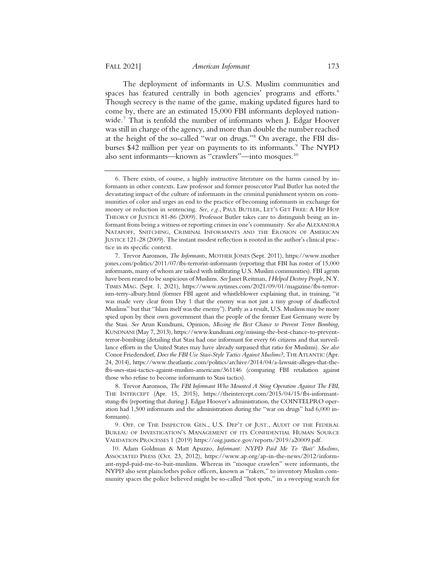The deployment of informants in U.S. Muslim communities and spaces has featured centrally in both agencies' programs and efforts.<sup>6</sup> Though secrecy is the name of the game, making updated figures hard to come by, there are an estimated 15,000 FBI informants deployed nationwide.<sup>7</sup> That is tenfold the number of informants when J. Edgar Hoover was still in charge of the agency, and more than double the number reached at the height of the so-called "war on drugs."8 On average, the FBI disburses \$42 million per year on payments to its informants.<sup>9</sup> The NYPD also sent informants—known as "crawlers"—into mosques.10

8. Trevor Aaronson, *The FBI Informant Who Mounted A Sting Operation Against The FBI*, THE INTERCEPT (Apr. 15, 2015), https://theintercept.com/2015/04/15/fbi-informantstung-fbi (reporting that during J. Edgar Hoover's administration, the COINTELPRO operation had 1,500 informants and the administration during the "war on drugs" had 6,000 informants).

9. OFF. OF THE INSPECTOR GEN., U.S. DEP'T OF JUST., AUDIT OF THE FEDERAL BUREAU OF INVESTIGATION'S MANAGEMENT OF ITS CONFIDENTIAL HUMAN SOURCE VALIDATION PROCESSES 1 (2019) https://oig.justice.gov/reports/2019/a20009.pdf.

10. Adam Goldman & Matt Apuzzo, *Informant: NYPD Paid Me To 'Bait' Muslims*, ASSOCIATED PRESS (Oct. 23, 2012), https://www.ap.org/ap-in-the-news/2012/informant-nypd-paid-me-to-bait-muslims. Whereas its "mosque crawlers" were informants, the NYPD also sent plainclothes police officers, known as "rakers," to inventory Muslim community spaces the police believed might be so-called "hot spots," in a sweeping search for

<sup>6.</sup> There exists, of course, a highly instructive literature on the harms caused by informants in other contexts. Law professor and former prosecutor Paul Butler has noted the devastating impact of the culture of informants in the criminal punishment system on communities of color and urges an end to the practice of becoming informants in exchange for money or reduction in sentencing. *See, e.g.*, PAUL BUTLER, LET'S GET FREE: A HIP HOP THEORY OF JUSTICE 81-86 (2009). Professor Butler takes care to distinguish being an informant from being a witness or reporting crimes in one's community. *See also* ALEXANDRA NATAPOFF, SNITCHING, CRIMINAL INFORMANTS AND THE EROSION OF AMERICAN JUSTICE 121-28 (2009). The instant modest reflection is rooted in the author's clinical practice in its specific context.

<sup>7.</sup> Trevor Aaronson, *The Informants*, MOTHER JONES (Sept. 2011), https://www.mother jones.com/politics/2011/07/fbi-terrorist-informants (reporting that FBI has roster of 15,000 informants, many of whom are tasked with infiltrating U.S. Muslim communities). FBI agents have been reared to be suspicious of Muslims. *See* Janet Reitman, *I Helped Destroy People*, N.Y. TIMES MAG. (Sept. 1, 2021), https://www.nytimes.com/2021/09/01/magazine/fbi-terrorism-terry-albury.html (former FBI agent and whistleblower explaining that, in training, "it was made very clear from Day 1 that the enemy was not just a tiny group of disaffected Muslims" but that "Islam itself was the enemy"). Partly as a result, U.S. Muslims may be more spied upon by their own government than the people of the former East Germany were by the Stasi. *See* Arun Kundnani, Opinion, *Missing the Best Chance to Prevent Terror Bombing*, KUNDNANI (May 7, 2013), https://www.kundnani.org/missing-the-best-chance-to-preventterror-bombing (detailing that Stasi had one informant for every 66 citizens and that surveillance efforts in the United States may have already surpassed that ratio for Muslims). *See also*  Conor Friedersdorf, *Does the FBI Use Stasi-Style Tactics Against Muslims?*, THE ATLANTIC (Apr. 24, 2014), https://www.theatlantic.com/politics/archive/2014/04/a-lawsuit-alleges-that-thefbi-uses-stasi-tactics-against-muslim-americans/361146 (comparing FBI retaliation against those who refuse to become informants to Stasi tactics).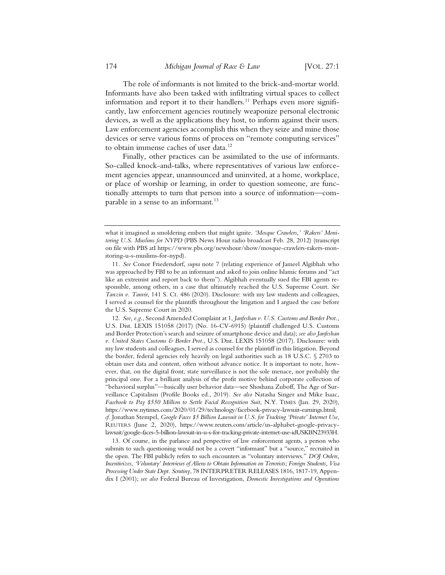The role of informants is not limited to the brick-and-mortar world. Informants have also been tasked with infiltrating virtual spaces to collect information and report it to their handlers.<sup>11</sup> Perhaps even more significantly, law enforcement agencies routinely weaponize personal electronic devices, as well as the applications they host, to inform against their users. Law enforcement agencies accomplish this when they seize and mine those devices or serve various forms of process on "remote computing services" to obtain immense caches of user data.<sup>12</sup>

Finally, other practices can be assimilated to the use of informants. So-called knock-and-talks, where representatives of various law enforcement agencies appear, unannounced and uninvited, at a home, workplace, or place of worship or learning, in order to question someone, are functionally attempts to turn that person into a source of information—comparable in a sense to an informant.<sup>13</sup>

what it imagined as smoldering embers that might ignite. *'Mosque Crawlers,' 'Rakers' Monitoring U.S. Muslims for NYPD* (PBS News Hour radio broadcast Feb. 28, 2012) (transcript on file with PBS atI https://www.pbs.org/newshour/show/mosque-crawlers-rakers-monitoring-u-s-muslims-for-nypd).

<sup>11</sup>*. See* Conor Friedersdorf, *supra* note 7 (relating experience of Jameel Algibhah who was approached by FBI to be an informant and asked to join online Islamic forums and "act like an extremist and report back to them"). Algibhah eventually sued the FBI agents responsible, among others, in a case that ultimately reached the U.S. Supreme Court. *See Tanzin v. Tanvir*, 141 S. Ct. 486 (2020). Disclosure: with my law students and colleagues, I served as counsel for the plaintiffs throughout the litigation and I argued the case before the U.S. Supreme Court in 2020.

<sup>12</sup>*. See, e.g.*, Second Amended Complaint at 1, *Janfeshan v. U.S. Customs and Border Prot.*, U.S. Dist. LEXIS 151058 (2017) (No. 16-CV-6915) (plaintiff challenged U.S. Customs and Border Protection's search and seizure of smartphone device and data); *see also Janfeshan v. United States Customs & Border Prot.*, U.S. Dist. LEXIS 151058 (2017). Disclosure: with my law students and colleagues, I served as counsel for the plaintiff in this litigation. Beyond the border, federal agencies rely heavily on legal authorities such as 18 U.S.C. § 2703 to obtain user data and content, often without advance notice. It is important to note, however, that, on the digital front, state surveillance is not the sole menace, nor probably the principal one. For a brilliant analysis of the profit motive behind corporate collection of "behavioral surplus"—basically user behavior data—see Shoshana Zuboff, The Age of Surveillance Capitalism (Profile Books ed., 2019). *See also* Natasha Singer and Mike Isaac, *Facebook to Pay \$550 Million to Settle Facial Recognition Suit*, N.Y. TIMES (Jan. 29, 2020), https://www.nytimes.com/2020/01/29/technology/facebook-privacy-lawsuit-earnings.html; *cf.* Jonathan Stempel, *Google Faces \$5 Billion Lawsuit in U.S. for Tracking 'Private' Internet Use*, REUTERS (June 2, 2020), https://www.reuters.com/article/us-alphabet-google-privacylawsuit/google-faces-5-billion-lawsuit-in-u-s-for-tracking-private-internet-use-idUSKBN23933H.

<sup>13.</sup> Of course, in the parlance and perspective of law enforcement agents, a person who submits to such questioning would not be a covert "informant" but a "source," recruited in the open. The FBI publicly refers to such encounters as "voluntary interviews." *DOJ Orders, Incentivizes, 'Voluntary' Interviews of Aliens to Obtain Information on Terrorists; Foreign Students, Visa Processing Under State Dept. Scrutiny*, 78 INTERPRETER RELEASES 1816, 1817-19, Appendix I (2001); *see also* Federal Bureau of Investigation, *Domestic Investigations and Operations*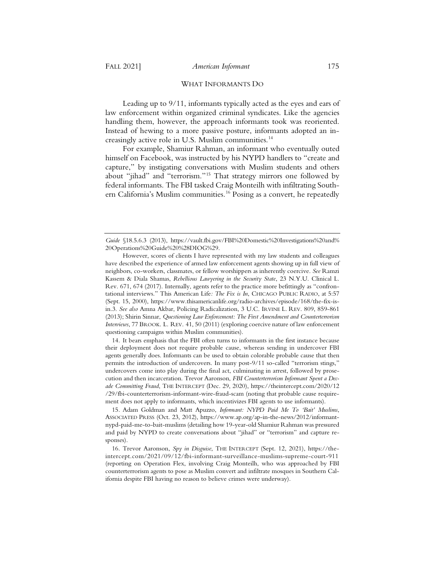### WHAT INFORMANTS DO

Leading up to 9/11, informants typically acted as the eyes and ears of law enforcement within organized criminal syndicates. Like the agencies handling them, however, the approach informants took was reoriented. Instead of hewing to a more passive posture, informants adopted an increasingly active role in U.S. Muslim communities.14

For example, Shamiur Rahman, an informant who eventually outed himself on Facebook, was instructed by his NYPD handlers to "create and capture," by instigating conversations with Muslim students and others about "jihad" and "terrorism."15 That strategy mirrors one followed by federal informants. The FBI tasked Craig Monteilh with infiltrating Southern California's Muslim communities.<sup>16</sup> Posing as a convert, he repeatedly

14. It bears emphasis that the FBI often turns to informants in the first instance because their deployment does not require probable cause, whereas sending in undercover FBI agents generally does. Informants can be used to obtain colorable probable cause that then permits the introduction of undercovers. In many post-9/11 so-called "terrorism stings," undercovers come into play during the final act, culminating in arrest, followed by prosecution and then incarceration. Trevor Aaronson, *FBI Counterterrorism Informant Spent a Decade Committing Fraud*, THE INTERCEPT (Dec. 29, 2020), https://theintercept.com/2020/12 /29/fbi-counterterrorism-informant-wire-fraud-scam (noting that probable cause requirement does not apply to informants, which incentivizes FBI agents to use informants).

15. Adam Goldman and Matt Apuzzo, *Informant: NYPD Paid Me To 'Bait' Muslims*, ASSOCIATED PRESS (Oct. 23, 2012), https://www.ap.org/ap-in-the-news/2012/informantnypd-paid-me-to-bait-muslims (detailing how 19-year-old Shamiur Rahman was pressured and paid by NYPD to create conversations about "jihad" or "terrorism" and capture responses).

16. Trevor Aaronson, *Spy in Disguise*, THE INTERCEPT (Sept. 12, 2021), https://theintercept.com/2021/09/12/fbi-informant-surveillance-muslims-supreme-court-911 (reporting on Operation Flex, involving Craig Monteilh, who was approached by FBI counterterrorism agents to pose as Muslim convert and infiltrate mosques in Southern California despite FBI having no reason to believe crimes were underway).

*Guide* §18.5.6.3 (2013), https://vault.fbi.gov/FBI%20Domestic%20Investigations%20and% 20Operations%20Guide%20%28DIOG%29.

However, scores of clients I have represented with my law students and colleagues have described the experience of armed law enforcement agents showing up in full view of neighbors, co-workers, classmates, or fellow worshippers as inherently coercive. *See* Ramzi Kassem & Diala Shamas, *Rebellious Lawyering in the Security State*, 23 N.Y.U. Clinical L. Rev. 671, 674 (2017). Internally, agents refer to the practice more befittingly as "confrontational interviews." This American Life*: The Fix is In*, CHICAGO PUBLIC RADIO, at 5:57 (Sept. 15, 2000), https://www.thisamericanlife.org/radio-archives/episode/168/the-fix-isin.3. *See also* Amna Akbar, Policing Radicalization, 3 U.C. IRVINE L. REV. 809, 859-861 (2013); Shirin Sinnar, *Questioning Law Enforcement: The First Amendment and Counterterrorism Interviews*, 77 BROOK. L. REV. 41, 50 (2011) (exploring coercive nature of law enforcement questioning campaigns within Muslim communities).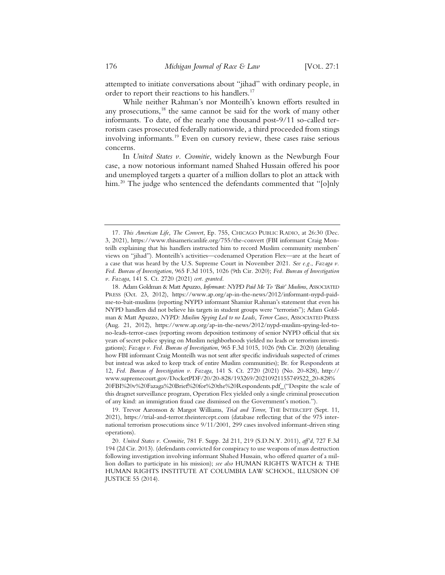attempted to initiate conversations about "jihad" with ordinary people, in order to report their reactions to his handlers.<sup>17</sup>

While neither Rahman's nor Monteilh's known efforts resulted in any prosecutions,<sup>18</sup> the same cannot be said for the work of many other informants. To date, of the nearly one thousand post-9/11 so-called terrorism cases prosecuted federally nationwide, a third proceeded from stings involving informants.19 Even on cursory review, these cases raise serious concerns.

In *United States v. Cromitie*, widely known as the Newburgh Four case, a now notorious informant named Shahed Hussain offered his poor and unemployed targets a quarter of a million dollars to plot an attack with him.<sup>20</sup> The judge who sentenced the defendants commented that "[o]nly

<sup>17</sup>*. This American Life, The Convert*, Ep. 755, CHICAGO PUBLIC RADIO, at 26:30 (Dec. 3, 2021), https://www.thisamericanlife.org/755/the-convert (FBI informant Craig Monteilh explaining that his handlers instructed him to record Muslim community members' views on "jihad"). Monteilh's activities—codenamed Operation Flex—are at the heart of a case that was heard by the U.S. Supreme Court in November 2021. *See e.g.*, *Fazaga v. Fed. Bureau of Investigation*, 965 F.3d 1015, 1026 (9th Cir. 2020); *Fed. Bureau of Investigation v. Fazaga*, 141 S. Ct. 2720 (2021) *cert. granted*.

<sup>18.</sup> Adam Goldman & Matt Apuzzo, *Informant: NYPD Paid Me To 'Bait' Muslims*, ASSOCIATED PRESS (Oct. 23, 2012), https://www.ap.org/ap-in-the-news/2012/informant-nypd-paidme-to-bait-muslims (reporting NYPD informant Shamiur Rahman's statement that even his NYPD handlers did not believe his targets in student groups were "terrorists"); Adam Goldman & Matt Apuzzo, *NYPD: Muslim Spying Led to no Leads, Terror Cases*, ASSOCIATED PRESS (Aug. 21, 2012), https://www.ap.org/ap-in-the-news/2012/nypd-muslim-spying-led-tono-leads-terror-cases (reporting sworn deposition testimony of senior NYPD official that six years of secret police spying on Muslim neighborhoods yielded no leads or terrorism investigations); *Fazaga v. Fed. Bureau of Investigation*, 965 F.3d 1015, 1026 (9th Cir. 2020) (detailing how FBI informant Craig Monteilh was not sent after specific individuals suspected of crimes but instead was asked to keep track of entire Muslim communities); Br. for Respondents at 12, *Fed. Bureau of Investigation v. Fazaga*, 141 S. Ct. 2720 (2021) (No. 20-828), http:// www.supremecourt.gov/DocketPDF/20/20-828/193269/20210921155749522\_20-828% 20FBI%20v%20Fazaga%20Brief%20for%20the%20Respondents.pdf ("Despite the scale of this dragnet surveillance program, Operation Flex yielded only a single criminal prosecution of any kind: an immigration fraud case dismissed on the Government's motion.").

<sup>19.</sup> Trevor Aaronson & Margot Williams, *Trial and Terror*, THE INTERCEPT (Sept. 11, 2021), https://trial-and-terror.theintercept.com (database reflecting that of the 975 international terrorism prosecutions since 9/11/2001, 299 cases involved informant-driven sting operations).

<sup>20</sup>*. United States v. Cromitie*, 781 F. Supp. 2d 211, 219 (S.D.N.Y. 2011), *aff'd*, 727 F.3d 194 (2d Cir. 2013). (defendants convicted for conspiracy to use weapons of mass destruction following investigation involving informant Shahed Hussain, who offered quarter of a million dollars to participate in his mission); *see also* HUMAN RIGHTS WATCH & THE HUMAN RIGHTS INSTITUTE AT COLUMBIA LAW SCHOOL, ILLUSION OF JUSTICE 55 (2014).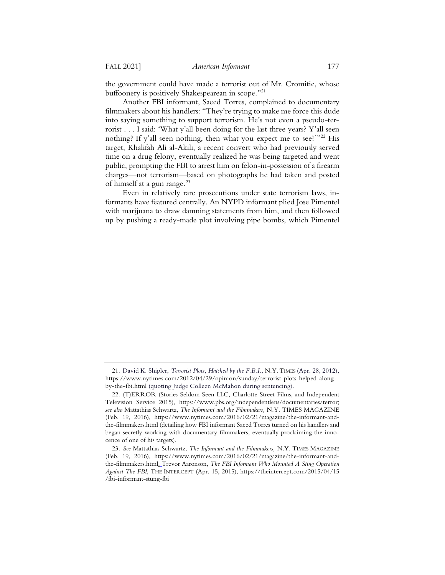the government could have made a terrorist out of Mr. Cromitie, whose buffoonery is positively Shakespearean in scope."<sup>21</sup>

Another FBI informant, Saeed Torres, complained to documentary filmmakers about his handlers: "They're trying to make me force this dude into saying something to support terrorism. He's not even a pseudo-terrorist . . . I said: 'What y'all been doing for the last three years? Y'all seen nothing? If y'all seen nothing, then what you expect me to see?"<sup>22</sup> His target, Khalifah Ali al-Akili, a recent convert who had previously served time on a drug felony, eventually realized he was being targeted and went public, prompting the FBI to arrest him on felon-in-possession of a firearm charges—not terrorism—based on photographs he had taken and posted of himself at a gun range.<sup>23</sup>

Even in relatively rare prosecutions under state terrorism laws, informants have featured centrally. An NYPD informant plied Jose Pimentel with marijuana to draw damning statements from him, and then followed up by pushing a ready-made plot involving pipe bombs, which Pimentel

<sup>21.</sup> David K. Shipler, *Terrorist Plots, Hatched by the F.B.I.*, N.Y. TIMES (Apr. 28, 2012), https://www.nytimes.com/2012/04/29/opinion/sunday/terrorist-plots-helped-alongby-the-fbi.html (quoting Judge Colleen McMahon during sentencing).

<sup>22. (</sup>T)ERROR (Stories Seldom Seen LLC, Charlotte Street Films, and Independent Television Service 2015), https://www.pbs.org/independentlens/documentaries/terror; *see also* Mattathias Schwartz, *The Informant and the Filmmakers,* N.Y. TIMES MAGAZINE (Feb. 19, 2016), https://www.nytimes.com/2016/02/21/magazine/the-informant-andthe-filmmakers.html (detailing how FBI informant Saeed Torres turned on his handlers and began secretly working with documentary filmmakers, eventually proclaiming the innocence of one of his targets).

<sup>23</sup>*. See* Mattathias Schwartz, *The Informant and the Filmmakers,* N.Y. TIMES MAGAZINE (Feb. 19, 2016), https://www.nytimes.com/2016/02/21/magazine/the-informant-andthe-filmmakers.html. Trevor Aaronson, *The FBI Informant Who Mounted A Sting Operation Against The FBI*, THE INTERCEPT (Apr. 15, 2015), https://theintercept.com/2015/04/15 /fbi-informant-stung-fbi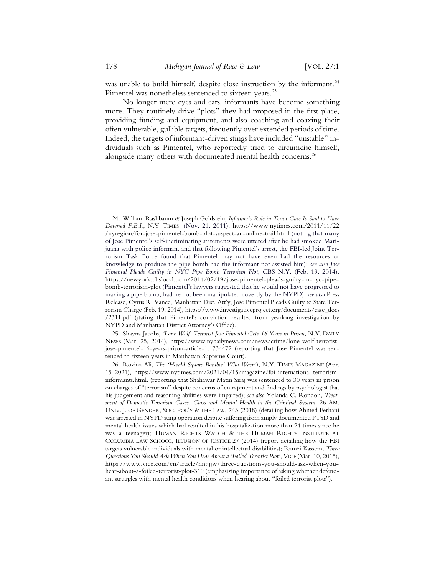was unable to build himself, despite close instruction by the informant.<sup>24</sup> Pimentel was nonetheless sentenced to sixteen years.<sup>25</sup>

No longer mere eyes and ears, informants have become something more. They routinely drive "plots" they had proposed in the first place, providing funding and equipment, and also coaching and coaxing their often vulnerable, gullible targets, frequently over extended periods of time. Indeed, the targets of informant-driven stings have included "unstable" individuals such as Pimentel, who reportedly tried to circumcise himself, alongside many others with documented mental health concerns.<sup>26</sup>

25. Shayna Jacobs, *'Lone Wolf' Terrorist Jose Pimentel Gets 16 Years in Prison*, N.Y. DAILY NEWS (Mar. 25, 2014), https://www.nydailynews.com/news/crime/lone-wolf-terroristjose-pimentel-16-years-prison-article-1.1734472 (reporting that Jose Pimentel was sentenced to sixteen years in Manhattan Supreme Court).

<sup>24.</sup> William Rashbaum & Joseph Goldstein, *Informer's Role in Terror Case Is Said to Have Deterred F.B.I.*, N.Y. TIMES (Nov. 21, 2011), https://www.nytimes.com/2011/11/22 /nyregion/for-jose-pimentel-bomb-plot-suspect-an-online-trail.html (noting that many of Jose Pimentel's self-incriminating statements were uttered after he had smoked Marijuana with police informant and that following Pimentel's arrest, the FBI-led Joint Terrorism Task Force found that Pimentel may not have even had the resources or knowledge to produce the pipe bomb had the informant not assisted him); *see also Jose Pimental Pleads Guilty in NYC Pipe Bomb Terrorism Plot*, CBS N.Y. (Feb. 19, 2014), https://newyork.cbslocal.com/2014/02/19/jose-pimentel-pleads-guilty-in-nyc-pipebomb-terrorism-plot (Pimentel's lawyers suggested that he would not have progressed to making a pipe bomb, had he not been manipulated covertly by the NYPD); *see also* Press Release, Cyrus R. Vance, Manhattan Dist. Att'y, Jose Pimentel Pleads Guilty to State Terrorism Charge (Feb. 19, 2014), https://www.investigativeproject.org/documents/case\_docs /2311.pdf (stating that Pimentel's conviction resulted from yearlong investigation by NYPD and Manhattan District Attorney's Office).

<sup>26.</sup> Rozina Ali, *The 'Herald Square Bomber' Who Wasn't*, N.Y. TIMES MAGAZINE (Apr. 15 2021), https://www.nytimes.com/2021/04/15/magazine/fbi-international-terrorisminformants.html. (reporting that Shahawar Matin Siraj was sentenced to 30 years in prison on charges of "terrorism" despite concerns of entrapment and findings by psychologist that his judgement and reasoning abilities were impaired); *see also* Yolanda C. Rondon, *Treatment of Domestic Terrorism Cases: Class and Mental Health in the Criminal System*, 26 AM. UNIV. J. OF GENDER, SOC. POL'Y & THE LAW, 743 (2018) (detailing how Ahmed Ferhani was arrested in NYPD sting operation despite suffering from amply documented PTSD and mental health issues which had resulted in his hospitalization more than 24 times since he was a teenager); HUMAN RIGHTS WATCH & THE HUMAN RIGHTS INSTITUTE AT COLUMBIA LAW SCHOOL, ILLUSION OF JUSTICE 27 (2014) (report detailing how the FBI targets vulnerable individuals with mental or intellectual disabilities); Ramzi Kassem, *Three Questions You Should Ask When You Hear About a 'Foiled Terrorist Plot'*, VICE (Mar. 10, 2015), https://www.vice.com/en/article/nn9jjw/three-questions-you-should-ask-when-youhear-about-a-foiled-terrorist-plot-310 (emphasizing importance of asking whether defendant struggles with mental health conditions when hearing about "foiled terrorist plots").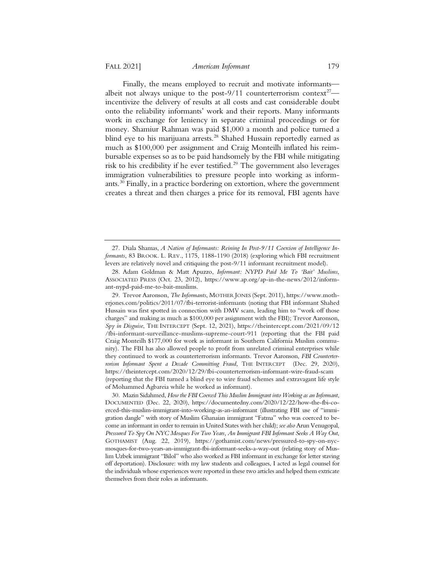Finally, the means employed to recruit and motivate informants albeit not always unique to the post-9/11 counterterrorism context<sup>27</sup> incentivize the delivery of results at all costs and cast considerable doubt onto the reliability informants' work and their reports. Many informants work in exchange for leniency in separate criminal proceedings or for money. Shamiur Rahman was paid \$1,000 a month and police turned a blind eye to his marijuana arrests.<sup>28</sup> Shahed Hussain reportedly earned as much as \$100,000 per assignment and Craig Monteilh inflated his reimbursable expenses so as to be paid handsomely by the FBI while mitigating risk to his credibility if he ever testified.<sup>29</sup> The government also leverages immigration vulnerabilities to pressure people into working as informants. $30$  Finally, in a practice bordering on extortion, where the government creates a threat and then charges a price for its removal, FBI agents have

<sup>27.</sup> Diala Shamas, *A Nation of Informants: Reining In Post-9/11 Coercion of Intelligence Informants*, 83 BROOK. L. REV., 1175, 1188-1190 (2018) (exploring which FBI recruitment levers are relatively novel and critiquing the post-9/11 informant recruitment model).

<sup>28.</sup> Adam Goldman & Matt Apuzzo, *Informant: NYPD Paid Me To 'Bait' Muslims*, ASSOCIATED PRESS (Oct. 23, 2012), https://www.ap.org/ap-in-the-news/2012/informant-nypd-paid-me-to-bait-muslims.

<sup>29.</sup> Trevor Aaronson, *The Informants*, MOTHER JONES (Sept. 2011), https://www.motherjones.com/politics/2011/07/fbi-terrorist-informants (noting that FBI informant Shahed Hussain was first spotted in connection with DMV scam, leading him to "work off those charges" and making as much as \$100,000 per assignment with the FBI); Trevor Aaronson, *Spy in Disguise*, THE INTERCEPT (Sept. 12, 2021), https://theintercept.com/2021/09/12 /fbi-informant-surveillance-muslims-supreme-court-911 (reporting that the FBI paid Craig Monteilh \$177,000 for work as informant in Southern California Muslim community). The FBI has also allowed people to profit from unrelated criminal enterprises while they continued to work as counterterrorism informants. Trevor Aaronson, *FBI Counterterrorism Informant Spent a Decade Committing Fraud*, THE INTERCEPT (Dec. 29, 2020), https://theintercept.com/2020/12/29/fbi-counterterrorism-informant-wire-fraud-scam (reporting that the FBI turned a blind eye to wire fraud schemes and extravagant life style of Mohammed Agbareia while he worked as informant).

<sup>30.</sup> Mazin Sidahmed, *How the FBI Coerced This Muslim Immigrant into Working as an Informant*, DOCUMENTED (Dec. 22, 2020), https://documentedny.com/2020/12/22/how-the-fbi-coerced-this-muslim-immigrant-into-working-as-an-informant (illustrating FBI use of "immigration dangle" with story of Muslim Ghanaian immigrant "Fatma" who was coerced to become an informant in order to remain in United States with her child); *see also* Arun Venugopal, *Pressured To Spy On NYC Mosques For Two Years, An Immigrant FBI Informant Seeks A Way Out*, GOTHAMIST (Aug. 22, 2019), https://gothamist.com/news/pressured-to-spy-on-nycmosques-for-two-years-an-immigrant-fbi-informant-seeks-a-way-out (relating story of Muslim Uzbek immigrant "Bilol" who also worked as FBI informant in exchange for letter staving off deportation). Disclosure: with my law students and colleagues, I acted as legal counsel for the individuals whose experiences were reported in these two articles and helped them extricate themselves from their roles as informants.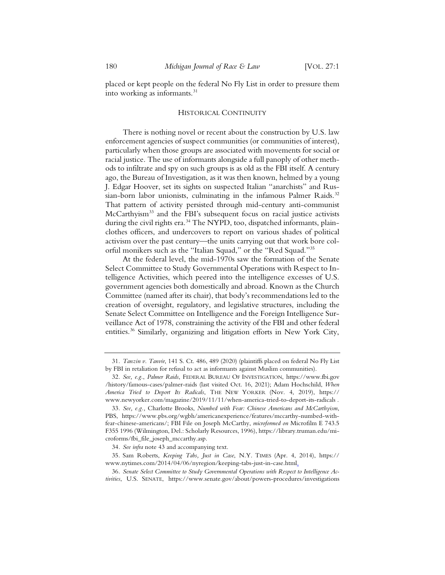placed or kept people on the federal No Fly List in order to pressure them into working as informants.<sup>31</sup>

#### HISTORICAL CONTINUITY

There is nothing novel or recent about the construction by U.S. law enforcement agencies of suspect communities (or communities of interest), particularly when those groups are associated with movements for social or racial justice. The use of informants alongside a full panoply of other methods to infiltrate and spy on such groups is as old as the FBI itself. A century ago, the Bureau of Investigation, as it was then known, helmed by a young J. Edgar Hoover, set its sights on suspected Italian "anarchists" and Russian-born labor unionists, culminating in the infamous Palmer Raids.<sup>32</sup> That pattern of activity persisted through mid-century anti-communist McCarthyism<sup>33</sup> and the FBI's subsequent focus on racial justice activists during the civil rights era.<sup>34</sup> The NYPD, too, dispatched informants, plainclothes officers, and undercovers to report on various shades of political activism over the past century—the units carrying out that work bore colorful monikers such as the "Italian Squad," or the "Red Squad."35

At the federal level, the mid-1970s saw the formation of the Senate Select Committee to Study Governmental Operations with Respect to Intelligence Activities, which peered into the intelligence excesses of U.S. government agencies both domestically and abroad. Known as the Church Committee (named after its chair), that body's recommendations led to the creation of oversight, regulatory, and legislative structures, including the Senate Select Committee on Intelligence and the Foreign Intelligence Surveillance Act of 1978, constraining the activity of the FBI and other federal entities.36 Similarly, organizing and litigation efforts in New York City,

<sup>31</sup>*. Tanzin v. Tanvir*, 141 S. Ct. 486, 489 (2020) (plaintiffs placed on federal No Fly List by FBI in retaliation for refusal to act as informants against Muslim communities).

<sup>32</sup>*. See, e.g.*, *Palmer Raids*, FEDERAL BUREAU OF INVESTIGATION, https://www.fbi.gov /history/famous-cases/palmer-raids (last visited Oct. 16, 2021); Adam Hochschild, *When America Tried to Deport Its Radicals*, THE NEW YORKER (Nov. 4, 2019), https:// www.newyorker.com/magazine/2019/11/11/when-america-tried-to-deport-its-radicals .

<sup>33</sup>*. See, e.g.,* Charlotte Brooks, *Numbed with Fear: Chinese Americans and McCarthyism*, PBS, https://www.pbs.org/wgbh/americanexperience/features/mccarthy-numbed-withfear-chinese-americans/; FBI File on Joseph McCarthy, *microformed on* Microfilm E 743.5 F355 1996 (Wilmington, Del.: Scholarly Resources, 1996), https://library.truman.edu/microforms/fbi\_file\_joseph\_mccarthy.asp.

<sup>34</sup>*. See infra* note 43 and accompanying text.

<sup>35.</sup> Sam Roberts, *Keeping Tabs, Just in Case*, N.Y. TIMES (Apr. 4, 2014), https:// www.nytimes.com/2014/04/06/nyregion/keeping-tabs-just-in-case.html.

<sup>36</sup>*. Senate Select Committee to Study Governmental Operations with Respect to Intelligence Activities*, U.S. SENATE, https://www.senate.gov/about/powers-procedures/investigations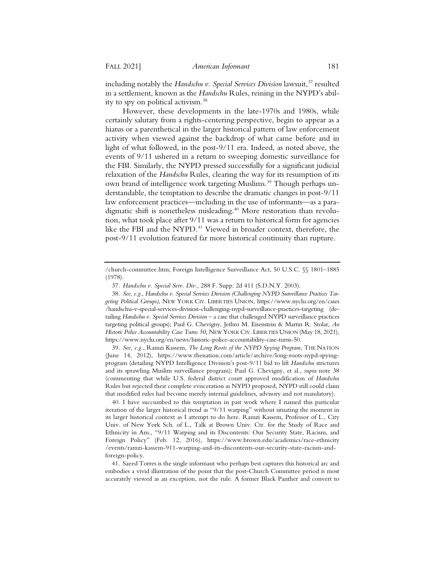including notably the *Handschu v. Special Services Division* lawsuit,<sup>37</sup> resulted in a settlement, known as the *Handschu* Rules, reining in the NYPD's ability to spy on political activism.38

However, these developments in the late-1970s and 1980s, while certainly salutary from a rights-centering perspective, begin to appear as a hiatus or a parenthetical in the larger historical pattern of law enforcement activity when viewed against the backdrop of what came before and in light of what followed, in the post-9/11 era. Indeed, as noted above, the events of 9/11 ushered in a return to sweeping domestic surveillance for the FBI. Similarly, the NYPD pressed successfully for a significant judicial relaxation of the *Handschu* Rules, clearing the way for its resumption of its own brand of intelligence work targeting Muslims.<sup>39</sup> Though perhaps understandable, the temptation to describe the dramatic changes in post-9/11 law enforcement practices—including in the use of informants—as a paradigmatic shift is nonetheless misleading.<sup>40</sup> More restoration than revolution, what took place after 9/11 was a return to historical form for agencies like the FBI and the NYPD.<sup>41</sup> Viewed in broader context, therefore, the post-9/11 evolution featured far more historical continuity than rupture.

39*. See, e.g.*, Ramzi Kassem, *The Long Roots of the NYPD Spying Program*, THE NATION (June 14, 2012), https://www.thenation.com/article/archive/long-roots-nypd-spyingprogram (detailing NYPD Intelligence Division's post-9/11 bid to lift *Handschu* strictures and its sprawling Muslim surveillance program); Paul G. Chevigny, et al., *supra* note 38 (commenting that while U.S. federal district court approved modification of *Handschu* Rules but rejected their complete evisceration as NYPD proposed, NYPD still could claim that modified rules had become merely internal guidelines, advisory and not mandatory).

40. I have succumbed to this temptation in past work where I named this particular iteration of the larger historical trend as "9/11 warping" without situating the moment in its larger historical context as I attempt to do here. Ramzi Kassem, Professor of L., City Univ. of New York Sch. of L., Talk at Brown Univ. Ctr. for the Study of Race and Ethnicity in Am., "9/11 Warping and its Discontents: Our Security State, Racism, and Foreign Policy" (Feb. 12, 2016), https://www.brown.edu/academics/race-ethnicity /events/ramzi-kassem-911-warping-and-its-discontents-our-security-state-racism-andforeign-policy.

41. Saeed Torres is the single informant who perhaps best captures this historical arc and embodies a vivid illustration of the point that the post-Church Committee period is most accurately viewed as an exception, not the rule. A former Black Panther and convert to

<sup>/</sup>church-committee.htm; Foreign Intelligence Surveillance Act, 50 U.S.C. §§ 1801–1885 (1978).

<sup>37</sup>*. Handschu v. Special Serv. Div.*, 288 F. Supp. 2d 411 (S.D.N.Y. 2003).

<sup>38</sup>*. See, e.g.*, *Handschu v. Special Services Division (Challenging NYPD Surveillance Practices Targeting Political Groups)*, NEW YORK CIV. LIBERTIES UNION, https://www.nyclu.org/en/cases /handschu-v-special-services-division-challenging-nypd-surveillance-practices-targeting (detailing *Handschu v. Special Services Division* – a case that challenged NYPD surveillance practices targeting political groups); Paul G. Chevigny, Jethro M. Eisenstein & Martin R. Stolar, *An Historic Police Accountability Case Turns 50*, NEW YORK CIV. LIBERTIES UNION (May 18, 2021), https://www.nyclu.org/en/news/historic-police-accountability-case-turns-50.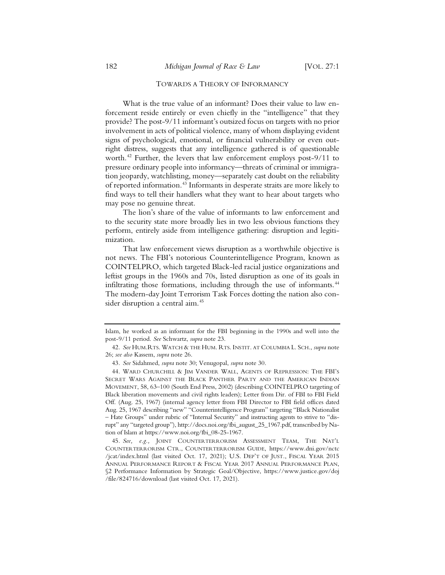#### TOWARDS A THEORY OF INFORMANCY

What is the true value of an informant? Does their value to law enforcement reside entirely or even chiefly in the "intelligence" that they provide? The post-9/11 informant's outsized focus on targets with no prior involvement in acts of political violence, many of whom displaying evident signs of psychological, emotional, or financial vulnerability or even outright distress, suggests that any intelligence gathered is of questionable worth.42 Further, the levers that law enforcement employs post-9/11 to pressure ordinary people into informancy—threats of criminal or immigration jeopardy, watchlisting, money—separately cast doubt on the reliability of reported information.43 Informants in desperate straits are more likely to find ways to tell their handlers what they want to hear about targets who may pose no genuine threat.

The lion's share of the value of informants to law enforcement and to the security state more broadly lies in two less obvious functions they perform, entirely aside from intelligence gathering: disruption and legitimization.

That law enforcement views disruption as a worthwhile objective is not news. The FBI's notorious Counterintelligence Program, known as COINTELPRO, which targeted Black-led racial justice organizations and leftist groups in the 1960s and 70s, listed disruption as one of its goals in infiltrating those formations, including through the use of informants.<sup>44</sup> The modern-day Joint Terrorism Task Forces dotting the nation also consider disruption a central aim.<sup>45</sup>

Islam, he worked as an informant for the FBI beginning in the 1990s and well into the post-9/11 period. *See* Schwartz, *supra* note 23.

<sup>42</sup>*. See* HUM.RTS. WATCH & THE HUM. RTS. INSTIT. AT COLUMBIA L. SCH., *supra* note 26; *see also* Kassem, *supra* note 26.

<sup>43</sup>*. See* Sidahmed, *supra* note 30; Venugopal, *supra* note 30.

<sup>44.</sup> WARD CHURCHILL & JIM VANDER WALL, AGENTS OF REPRESSION: THE FBI'S SECRET WARS AGAINST THE BLACK PANTHER PARTY AND THE AMERICAN INDIAN MOVEMENT, 58, 63–100 (South End Press, 2002) (describing COINTELPRO targeting of Black liberation movements and civil rights leaders); Letter from Dir. of FBI to FBI Field Off. (Aug. 25, 1967) (internal agency letter from FBI Director to FBI field offices dated Aug. 25, 1967 describing "new" "Counterintelligence Program" targeting "Black Nationalist – Hate Groups" under rubric of "Internal Security" and instructing agents to strive to "disrupt" any "targeted group"), http://docs.noi.org/fbi\_august\_25\_1967.pdf, transcribed by Nation of Islam at https://www.noi.org/fbi\_08-25-1967.

<sup>45</sup>*. See, e.g.,* JOINT COUNTERTERRORISM ASSESSMENT TEAM, THE NAT'L COUNTERTERRORISM CTR., COUNTERTERRORISM GUIDE, https://www.dni.gov/nctc /jcat/index.html (last visited Oct. 17, 2021); U.S. DEP'T OF JUST., FISCAL YEAR 2015 ANNUAL PERFORMANCE REPORT & FISCAL YEAR 2017 ANNUAL PERFORMANCE PLAN, §2 Performance Information by Strategic Goal/Objective, https://www.justice.gov/doj /file/824716/download (last visited Oct. 17, 2021).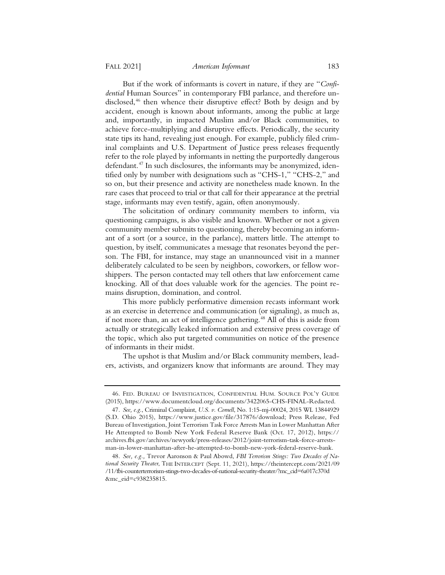But if the work of informants is covert in nature, if they are "*Confidential* Human Sources" in contemporary FBI parlance, and therefore undisclosed,<sup>46</sup> then whence their disruptive effect? Both by design and by accident, enough is known about informants, among the public at large and, importantly, in impacted Muslim and/or Black communities, to achieve force-multiplying and disruptive effects. Periodically, the security state tips its hand, revealing just enough. For example, publicly filed criminal complaints and U.S. Department of Justice press releases frequently refer to the role played by informants in netting the purportedly dangerous defendant.47 In such disclosures, the informants may be anonymized, identified only by number with designations such as "CHS-1," "CHS-2," and so on, but their presence and activity are nonetheless made known. In the rare cases that proceed to trial or that call for their appearance at the pretrial stage, informants may even testify, again, often anonymously.

The solicitation of ordinary community members to inform, via questioning campaigns, is also visible and known. Whether or not a given community member submits to questioning, thereby becoming an informant of a sort (or a source, in the parlance), matters little. The attempt to question, by itself, communicates a message that resonates beyond the person. The FBI, for instance, may stage an unannounced visit in a manner deliberately calculated to be seen by neighbors, coworkers, or fellow worshippers. The person contacted may tell others that law enforcement came knocking. All of that does valuable work for the agencies. The point remains disruption, domination, and control.

This more publicly performative dimension recasts informant work as an exercise in deterrence and communication (or signaling), as much as, if not more than, an act of intelligence gathering.<sup>48</sup> All of this is aside from actually or strategically leaked information and extensive press coverage of the topic, which also put targeted communities on notice of the presence of informants in their midst.

The upshot is that Muslim and/or Black community members, leaders, activists, and organizers know that informants are around. They may

<sup>46.</sup> FED. BUREAU OF INVESTIGATION, CONFIDENTIAL HUM. SOURCE POL'Y GUIDE (2015), https://www.documentcloud.org/documents/3422065-CHS-FINAL-Redacted.

<sup>47</sup>*. See, e.g.*, Criminal Complaint, *U.S. v. Cornell*, No. 1:15-mj-00024, 2015 WL 13844929 (S.D. Ohio 2015), https://www.justice.gov/file/317876/download; Press Release, Fed Bureau of Investigation, Joint Terrorism Task Force Arrests Man in Lower Manhattan After He Attempted to Bomb New York Federal Reserve Bank (Oct. 17, 2012), https:// archives.fbi.gov/archives/newyork/press-releases/2012/joint-terrorism-task-force-arrestsman-in-lower-manhattan-after-he-attempted-to-bomb-new-york-federal-reserve-bank.

<sup>48</sup>*. See, e.g.,* Trevor Aaronson & Paul Abowd, *FBI Terrorism Stings: Two Decades of National Security Theater*, THE INTERCEPT (Sept. 11, 2021), https://theintercept.com/2021/09 /11/fbi-counterterrorism-stings-two-decades-of-national-security-theater/?mc\_cid=6a017c370d &mc\_eid=c938235815.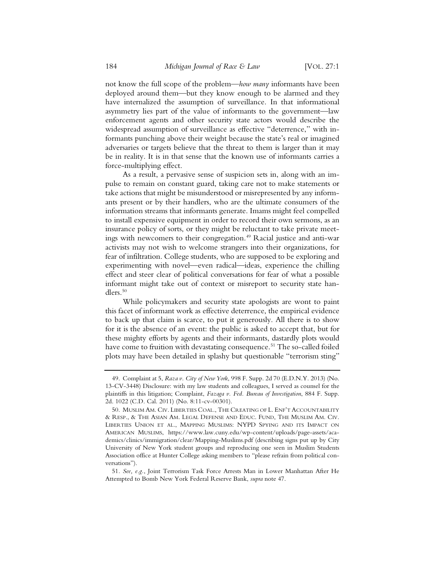not know the full scope of the problem—*how many* informants have been deployed around them—but they know enough to be alarmed and they have internalized the assumption of surveillance. In that informational asymmetry lies part of the value of informants to the government—law enforcement agents and other security state actors would describe the widespread assumption of surveillance as effective "deterrence," with informants punching above their weight because the state's real or imagined adversaries or targets believe that the threat to them is larger than it may be in reality. It is in that sense that the known use of informants carries a force-multiplying effect.

As a result, a pervasive sense of suspicion sets in, along with an impulse to remain on constant guard, taking care not to make statements or take actions that might be misunderstood or misrepresented by any informants present or by their handlers, who are the ultimate consumers of the information streams that informants generate. Imams might feel compelled to install expensive equipment in order to record their own sermons, as an insurance policy of sorts, or they might be reluctant to take private meetings with newcomers to their congregation.<sup>49</sup> Racial justice and anti-war activists may not wish to welcome strangers into their organizations, for fear of infiltration. College students, who are supposed to be exploring and experimenting with novel—even radical—ideas, experience the chilling effect and steer clear of political conversations for fear of what a possible informant might take out of context or misreport to security state handlers.<sup>50</sup>

While policymakers and security state apologists are wont to paint this facet of informant work as effective deterrence, the empirical evidence to back up that claim is scarce, to put it generously. All there is to show for it is the absence of an event: the public is asked to accept that, but for these mighty efforts by agents and their informants, dastardly plots would have come to fruition with devastating consequence.<sup>51</sup> The so-called foiled plots may have been detailed in splashy but questionable "terrorism sting"

<sup>49.</sup> Complaint at 5, *Raza v. City of New York*, 998 F. Supp. 2d 70 (E.D.N.Y. 2013) (No. 13-CV-3448) Disclosure: with my law students and colleagues, I served as counsel for the plaintiffs in this litigation; Complaint, *Fazaga v. Fed. Bureau of Investigation*, 884 F. Supp. 2d. 1022 (C.D. Cal. 2011) (No. 8:11-cv-00301).

<sup>50.</sup> MUSLIM AM. CIV. LIBERTIES COAL., THE CREATING OF L. ENF'T ACCOUNTABILITY & RESP., & THE ASIAN AM. LEGAL DEFENSE AND EDUC. FUND, THE MUSLIM AM. CIV. LIBERTIES UNION ET AL., MAPPING MUSLIMS: NYPD SPYING AND ITS IMPACT ON AMERICAN MUSLIMS, https://www.law.cuny.edu/wp-content/uploads/page-assets/academics/clinics/immigration/clear/Mapping-Muslims.pdf (describing signs put up by City University of New York student groups and reproducing one seen in Muslim Students Association office at Hunter College asking members to "please refrain from political conversations").

<sup>51</sup>*. See, e.g.*, Joint Terrorism Task Force Arrests Man in Lower Manhattan After He Attempted to Bomb New York Federal Reserve Bank, *supra* note 47.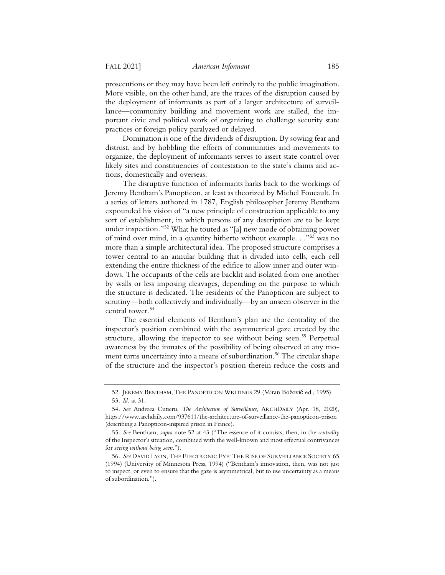prosecutions or they may have been left entirely to the public imagination. More visible, on the other hand, are the traces of the disruption caused by the deployment of informants as part of a larger architecture of surveillance—community building and movement work are stalled, the important civic and political work of organizing to challenge security state practices or foreign policy paralyzed or delayed.

Domination is one of the dividends of disruption. By sowing fear and distrust, and by hobbling the efforts of communities and movements to organize, the deployment of informants serves to assert state control over likely sites and constituencies of contestation to the state's claims and actions, domestically and overseas.

The disruptive function of informants harks back to the workings of Jeremy Bentham's Panopticon, at least as theorized by Michel Foucault. In a series of letters authored in 1787, English philosopher Jeremy Bentham expounded his vision of "a new principle of construction applicable to any sort of establishment, in which persons of any description are to be kept under inspection."52 What he touted as "[a] new mode of obtaining power of mind over mind, in a quantity hitherto without example. . ."53 was no more than a simple architectural idea. The proposed structure comprises a tower central to an annular building that is divided into cells, each cell extending the entire thickness of the edifice to allow inner and outer windows. The occupants of the cells are backlit and isolated from one another by walls or less imposing cleavages, depending on the purpose to which the structure is dedicated. The residents of the Panopticon are subject to scrutiny—both collectively and individually—by an unseen observer in the central tower.<sup>54</sup>

The essential elements of Bentham's plan are the centrality of the inspector's position combined with the asymmetrical gaze created by the structure, allowing the inspector to see without being seen.<sup>55</sup> Perpetual awareness by the inmates of the possibility of being observed at any moment turns uncertainty into a means of subordination.<sup>56</sup> The circular shape of the structure and the inspector's position therein reduce the costs and

<sup>52.</sup> JEREMY BENTHAM, THE PANOPTICON WRITINGS 29 (Miran Božovič ed., 1995). 53*. Id.* at 31.

<sup>54</sup>*. See* Andreea Cutieru, *The Architecture of Surveillance*, ARCHDAILY (Apr. 18, 2020), https://www.archdaily.com/937611/the-architecture-of-surveillance-the-panopticon-prison (describing a Panopticon-inspired prison in France).

<sup>55</sup>*. See* Bentham, *supra* note 52 at 43 ("The essence of it consists, then, in the *centrality*  of the Inspector's situation, combined with the well-known and most effectual contrivances for *seeing without being seen*.").

<sup>56</sup>*. See* DAVID LYON, THE ELECTRONIC EYE: THE RISE OF SURVEILLANCE SOCIETY 65 (1994) (University of Minnesota Press, 1994) ("Bentham's innovation, then, was not just to inspect, or even to ensure that the gaze is asymmetrical, but to use uncertainty as a means of subordination.").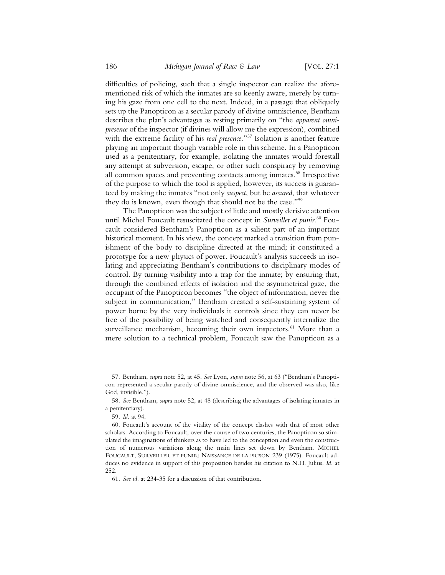difficulties of policing, such that a single inspector can realize the aforementioned risk of which the inmates are so keenly aware, merely by turning his gaze from one cell to the next. Indeed, in a passage that obliquely sets up the Panopticon as a secular parody of divine omniscience, Bentham describes the plan's advantages as resting primarily on "the *apparent omnipresence* of the inspector (if divines will allow me the expression), combined with the extreme facility of his *real presence*."57 Isolation is another feature playing an important though variable role in this scheme. In a Panopticon used as a penitentiary, for example, isolating the inmates would forestall any attempt at subversion, escape, or other such conspiracy by removing all common spaces and preventing contacts among inmates.<sup>58</sup> Irrespective of the purpose to which the tool is applied, however, its success is guaranteed by making the inmates "not only *suspect*, but be *assured*, that whatever they do is known, even though that should not be the case."59

The Panopticon was the subject of little and mostly derisive attention until Michel Foucault resuscitated the concept in *Surveiller et punir*. <sup>60</sup> Foucault considered Bentham's Panopticon as a salient part of an important historical moment. In his view, the concept marked a transition from punishment of the body to discipline directed at the mind; it constituted a prototype for a new physics of power. Foucault's analysis succeeds in isolating and appreciating Bentham's contributions to disciplinary modes of control. By turning visibility into a trap for the inmate; by ensuring that, through the combined effects of isolation and the asymmetrical gaze, the occupant of the Panopticon becomes "the object of information, never the subject in communication," Bentham created a self-sustaining system of power borne by the very individuals it controls since they can never be free of the possibility of being watched and consequently internalize the surveillance mechanism, becoming their own inspectors.<sup>61</sup> More than a mere solution to a technical problem, Foucault saw the Panopticon as a

<sup>57.</sup> Bentham, *supra* note 52, at 45. *See* Lyon, *supra* note 56, at 63 ("Bentham's Panopticon represented a secular parody of divine omniscience, and the observed was also, like God, invisible.").

<sup>58</sup>*. See* Bentham, *supra* note 52, at 48 (describing the advantages of isolating inmates in a penitentiary).

<sup>59</sup>*. Id.* at 94.

<sup>60.</sup> Foucault's account of the vitality of the concept clashes with that of most other scholars. According to Foucault, over the course of two centuries, the Panopticon so stimulated the imaginations of thinkers as to have led to the conception and even the construction of numerous variations along the main lines set down by Bentham. MICHEL FOUCAULT, SURVEILLER ET PUNIR: NAISSANCE DE LA PRISON 239 (1975). Foucault adduces no evidence in support of this proposition besides his citation to N.H. Julius. *Id.* at 252.

<sup>61</sup>*. See id.* at 234-35 for a discussion of that contribution.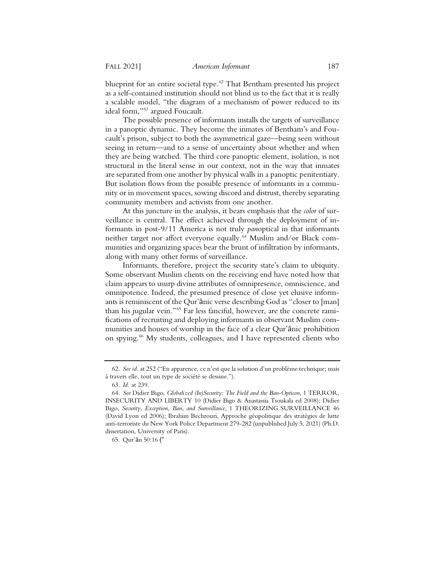blueprint for an entire societal type.<sup>62</sup> That Bentham presented his project as a self-contained institution should not blind us to the fact that it is really a scalable model, "the diagram of a mechanism of power reduced to its ideal form,"63 argued Foucault.

The possible presence of informants installs the targets of surveillance in a panoptic dynamic. They become the inmates of Bentham's and Foucault's prison, subject to both the asymmetrical gaze—being seen without seeing in return—and to a sense of uncertainty about whether and when they are being watched. The third core panoptic element, isolation, is not structural in the literal sense in our context, not in the way that inmates are separated from one another by physical walls in a panoptic penitentiary. But isolation flows from the possible presence of informants in a community or in movement spaces, sowing discord and distrust, thereby separating community members and activists from one another.

At this juncture in the analysis, it bears emphasis that the *color* of surveillance is central. The effect achieved through the deployment of informants in post-9/11 America is not truly *pan*optical in that informants neither target nor affect everyone equally.<sup>64</sup> Muslim and/or Black communities and organizing spaces bear the brunt of infiltration by informants, along with many other forms of surveillance.

Informants, therefore, project the security state's claim to ubiquity. Some observant Muslim clients on the receiving end have noted how that claim appears to usurp divine attributes of omnipresence, omniscience, and omnipotence. Indeed, the presumed presence of close yet elusive informants is reminiscent of the Qur'anic verse describing God as "closer to [man] than his jugular vein."65 Far less fanciful, however, are the concrete ramifications of recruiting and deploying informants in observant Muslim communities and houses of worship in the face of a clear Qur'anic prohibition on spying.66 My students, colleagues, and I have represented clients who

<sup>62</sup>*. See id.* at 252 ("En apparence, ce n'est que la solution d'un problème technique; mais à travers elle, tout un type de société se dessine.").

<sup>63</sup>*. Id.* at 239.

<sup>64</sup>*. See* Didier Bigo, *Globalized (In)Security: The Field and the Ban-Opticon*, 1 TERROR, INSECURITY AND LIBERTY 10 (Didier Bigo & Anastassia Tsoukala ed 2008); Didier Bigo, *Security, Exception, Ban, and Surveillance*, 1 THEORIZING SURVEILLANCE 46 (David Lyon ed 2006); Ibrahim Bechrouri, Approche géopolitique des stratégies de lutte anti-terroriste du New York Police Department 279-282 (unpublished July 5, 2021) (Ph.D. dissertation, University of Paris).

<sup>65.</sup> Qur'ān 50:16 ("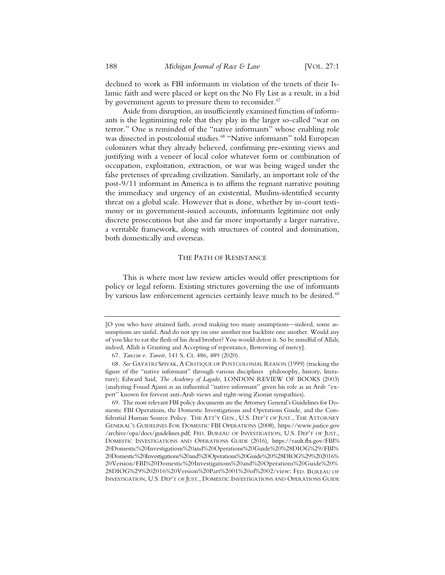declined to work as FBI informants in violation of the tenets of their Islamic faith and were placed or kept on the No Fly List as a result, in a bid by government agents to pressure them to reconsider.<sup>67</sup>

Aside from disruption, an insufficiently examined function of informants is the legitimizing role that they play in the larger so-called "war on terror." One is reminded of the "native informants" whose enabling role was dissected in postcolonial studies.<sup>68</sup> "Native informants" told European colonizers what they already believed, confirming pre-existing views and justifying with a veneer of local color whatever form or combination of occupation, exploitation, extraction, or war was being waged under the false pretenses of spreading civilization. Similarly, an important role of the post-9/11 informant in America is to affirm the regnant narrative positing the immediacy and urgency of an existential, Muslim-identified security threat on a global scale. However that is done, whether by in-court testimony or in government-issued accounts, informants legitimize not only discrete prosecutions but also and far more importantly a larger narrative, a veritable framework, along with structures of control and domination, both domestically and overseas.

#### THE PATH OF RESISTANCE

This is where most law review articles would offer prescriptions for policy or legal reform. Existing strictures governing the use of informants by various law enforcement agencies certainly leave much to be desired.<sup>69</sup>

<sup>[</sup>O you who have attained faith, avoid making too many assumptions—indeed, some assumptions are sinful. And do not spy on one another nor backbite one another. Would any of you like to eat the flesh of his dead brother? You would detest it. So be mindful of Allah; indeed, Allah is Granting and Accepting of repentance, Bestowing of mercy].

<sup>67</sup>*. Tanzin v. Tanvir*, 141 S. Ct. 486, 489 (2020).

<sup>68</sup>*. See* GAYATRI SPIVAK,ACRITIQUE OF POSTCOLONIAL REASON (1999) (tracking the figure of the "native informant" through various disciplines philosophy, history, literature); Edward Said, *The Academy of Lagado*, LONDON REVIEW OF BOOKS (2003) (analyzing Fouad Ajami as an influential "native informant" given his role as an Arab "expert" known for fervent anti-Arab views and right-wing Zionist sympathies).

<sup>69.</sup> The most relevant FBI policy documents are the Attorney General's Guidelines for Domestic FBI Operations, the Domestic Investigations and Operations Guide, and the Confidential Human Source Policy. THE ATT'Y GEN., U.S. DEP'T OF JUST., THE ATTORNEY GENERAL'S GUIDELINES FOR DOMESTIC FBI OPERATIONS (2008), https://www.justice.gov /archive/opa/docs/guidelines.pdf; FED. BUREAU OF INVESTIGATION, U.S. DEP'T OF JUST., DOMESTIC INVESTIGATIONS AND OPERATIONS GUIDE (2016), https://vault.fbi.gov/FBI% 20Domestic%20Investigations%20and%20Operations%20Guide%20%28DIOG%29/FBI% 20Domestic%20Investigations%20and%20Operations%20Guide%20%28DIOG%29%202016% 20Version/FBI%20Domestic%20Investigations%20and%20Operations%20Guide%20% 28DIOG%29%202016%20Version%20Part%2001%20of%2002/view; FED. BUREAU OF INVESTIGATION, U.S. DEP'T OF JUST., DOMESTIC INVESTIGATIONS AND OPERATIONS GUIDE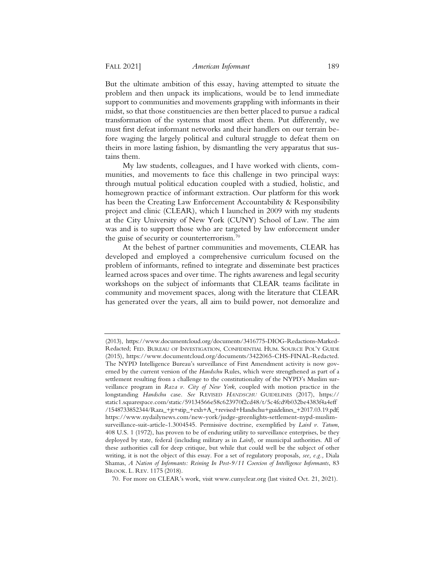But the ultimate ambition of this essay, having attempted to situate the problem and then unpack its implications, would be to lend immediate support to communities and movements grappling with informants in their midst, so that those constituencies are then better placed to pursue a radical transformation of the systems that most affect them. Put differently, we must first defeat informant networks and their handlers on our terrain before waging the largely political and cultural struggle to defeat them on theirs in more lasting fashion, by dismantling the very apparatus that sustains them.

My law students, colleagues, and I have worked with clients, communities, and movements to face this challenge in two principal ways: through mutual political education coupled with a studied, holistic, and homegrown practice of informant extraction. Our platform for this work has been the Creating Law Enforcement Accountability & Responsibility project and clinic (CLEAR), which I launched in 2009 with my students at the City University of New York (CUNY) School of Law. The aim was and is to support those who are targeted by law enforcement under the guise of security or counterterrorism.<sup>70</sup>

At the behest of partner communities and movements, CLEAR has developed and employed a comprehensive curriculum focused on the problem of informants, refined to integrate and disseminate best practices learned across spaces and over time. The rights awareness and legal security workshops on the subject of informants that CLEAR teams facilitate in community and movement spaces, along with the literature that CLEAR has generated over the years, all aim to build power, not demoralize and

<sup>(2013),</sup> https://www.documentcloud.org/documents/3416775-DIOG-Redactions-Marked-Redacted; FED. BUREAU OF INVESTIGATION, CONFIDENTIAL HUM. SOURCE POL'Y GUIDE (2015), https://www.documentcloud.org/documents/3422065-CHS-FINAL-Redacted. The NYPD Intelligence Bureau's surveillance of First Amendment activity is now governed by the current version of the *Handschu* Rules, which were strengthened as part of a settlement resulting from a challenge to the constitutionality of the NYPD's Muslim surveillance program in *Raza v. City of New York*, coupled with motion practice in the longstanding *Handschu* case. *See* REVISED *HANDSCHU* GUIDELINES (2017), https:// static1.squarespace.com/static/59134566e58c623970f2cd48/t/5c4fcd9b032be4383f4a4eff /1548733852344/Raza\_+jt+stip\_+exh+A\_+revised+Handschu+guidelines\_+2017.03.19.pdf; https://www.nydailynews.com/new-york/judge-greenlights-settlement-nypd-muslimsurveillance-suit-article-1.3004545. Permissive doctrine, exemplified by *Laird v. Tatum*, 408 U.S. 1 (1972), has proven to be of enduring utility to surveillance enterprises, be they deployed by state, federal (including military as in *Laird*), or municipal authorities. All of these authorities call for deep critique, but while that could well be the subject of other writing, it is not the object of this essay. For a set of regulatory proposals*, see, e.g.,* Diala Shamas, *A Nation of Informants: Reining In Post-9/11 Coercion of Intelligence Informants*, 83 BROOK. L. REV. 1175 (2018).

<sup>70.</sup> For more on CLEAR's work, visit www.cunyclear.org (last visited Oct. 21, 2021).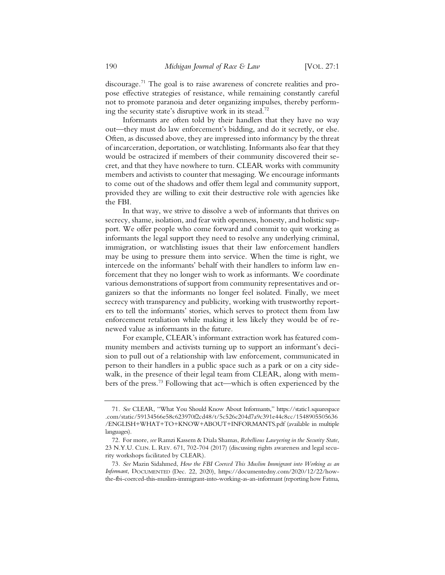discourage.71 The goal is to raise awareness of concrete realities and propose effective strategies of resistance, while remaining constantly careful not to promote paranoia and deter organizing impulses, thereby performing the security state's disruptive work in its stead.72

Informants are often told by their handlers that they have no way out—they must do law enforcement's bidding, and do it secretly, or else. Often, as discussed above, they are impressed into informancy by the threat of incarceration, deportation, or watchlisting. Informants also fear that they would be ostracized if members of their community discovered their secret, and that they have nowhere to turn. CLEAR works with community members and activists to counter that messaging. We encourage informants to come out of the shadows and offer them legal and community support, provided they are willing to exit their destructive role with agencies like the FBI.

In that way, we strive to dissolve a web of informants that thrives on secrecy, shame, isolation, and fear with openness, honesty, and holistic support. We offer people who come forward and commit to quit working as informants the legal support they need to resolve any underlying criminal, immigration, or watchlisting issues that their law enforcement handlers may be using to pressure them into service. When the time is right, we intercede on the informants' behalf with their handlers to inform law enforcement that they no longer wish to work as informants. We coordinate various demonstrations of support from community representatives and organizers so that the informants no longer feel isolated. Finally, we meet secrecy with transparency and publicity, working with trustworthy reporters to tell the informants' stories, which serves to protect them from law enforcement retaliation while making it less likely they would be of renewed value as informants in the future.

For example, CLEAR's informant extraction work has featured community members and activists turning up to support an informant's decision to pull out of a relationship with law enforcement, communicated in person to their handlers in a public space such as a park or on a city sidewalk, in the presence of their legal team from CLEAR, along with members of the press.73 Following that act—which is often experienced by the

<sup>71</sup>*. See* CLEAR, "What You Should Know About Informants," https://static1.squarespace .com/static/59134566e58c623970f2cd48/t/5c526c204d7a9c391e44c8cc/1548905505636 /ENGLISH+WHAT+TO+KNOW+ABOUT+INFORMANTS.pdf (available in multiple languages).

<sup>72.</sup> For more, *see* Ramzi Kassem & Diala Shamas, *Rebellious Lawyering in the Security State*, 23 N.Y.U. CLIN. L. REV. 671, 702-704 (2017) (discussing rights awareness and legal security workshops facilitated by CLEAR).

<sup>73</sup>*. See* Mazin Sidahmed, *How the FBI Coerced This Muslim Immigrant into Working as an Informant*, DOCUMENTED (Dec. 22, 2020), https://documentedny.com/2020/12/22/howthe-fbi-coerced-this-muslim-immigrant-into-working-as-an-informant (reporting how Fatma,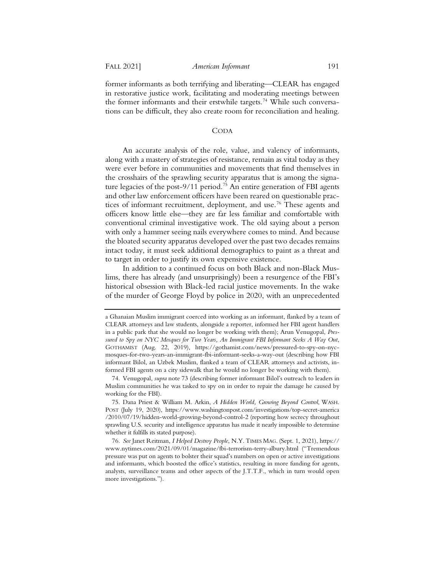former informants as both terrifying and liberating—CLEAR has engaged in restorative justice work, facilitating and moderating meetings between the former informants and their erstwhile targets.<sup>74</sup> While such conversations can be difficult, they also create room for reconciliation and healing.

## CODA

An accurate analysis of the role, value, and valency of informants, along with a mastery of strategies of resistance, remain as vital today as they were ever before in communities and movements that find themselves in the crosshairs of the sprawling security apparatus that is among the signature legacies of the post- $9/11$  period.<sup>75</sup> An entire generation of FBI agents and other law enforcement officers have been reared on questionable practices of informant recruitment, deployment, and use.<sup>76</sup> These agents and officers know little else—they are far less familiar and comfortable with conventional criminal investigative work. The old saying about a person with only a hammer seeing nails everywhere comes to mind. And because the bloated security apparatus developed over the past two decades remains intact today, it must seek additional demographics to paint as a threat and to target in order to justify its own expensive existence.

In addition to a continued focus on both Black and non-Black Muslims, there has already (and unsurprisingly) been a resurgence of the FBI's historical obsession with Black-led racial justice movements. In the wake of the murder of George Floyd by police in 2020, with an unprecedented

a Ghanaian Muslim immigrant coerced into working as an informant, flanked by a team of CLEAR attorneys and law students, alongside a reporter, informed her FBI agent handlers in a public park that she would no longer be working with them); Arun Venugopal, *Pressured to Spy on NYC Mosques for Two Years, An Immigrant FBI Informant Seeks A Way Out*, GOTHAMIST (Aug. 22, 2019), https://gothamist.com/news/pressured-to-spy-on-nycmosques-for-two-years-an-immigrant-fbi-informant-seeks-a-way-out (describing how FBI informant Bilol, an Uzbek Muslim, flanked a team of CLEAR attorneys and activists, informed FBI agents on a city sidewalk that he would no longer be working with them).

<sup>74.</sup> Venugopal, *supra* note 73 (describing former informant Bilol's outreach to leaders in Muslim communities he was tasked to spy on in order to repair the damage he caused by working for the FBI).

<sup>75.</sup> Dana Priest & William M. Arkin, *A Hidden World, Growing Beyond Control*, WASH. POST (July 19, 2020), https://www.washingtonpost.com/investigations/top-secret-america /2010/07/19/hidden-world-growing-beyond-control-2 (reporting how secrecy throughout sprawling U.S. security and intelligence apparatus has made it nearly impossible to determine whether it fulfills its stated purpose).

<sup>76</sup>*. See* Janet Reitman, *I Helped Destroy People*, N.Y. TIMES MAG. (Sept. 1, 2021), https:// www.nytimes.com/2021/09/01/magazine/fbi-terrorism-terry-albury.html ("Tremendous pressure was put on agents to bolster their squad's numbers on open or active investigations and informants, which boosted the office's statistics, resulting in more funding for agents, analysts, surveillance teams and other aspects of the J.T.T.F., which in turn would open more investigations.").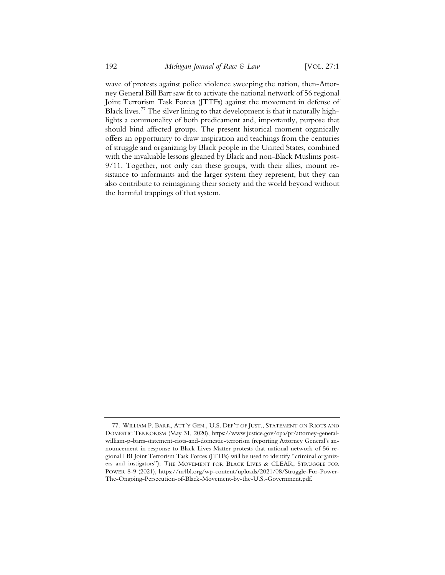wave of protests against police violence sweeping the nation, then-Attorney General Bill Barr saw fit to activate the national network of 56 regional Joint Terrorism Task Forces (JTTFs) against the movement in defense of Black lives.<sup>77</sup> The silver lining to that development is that it naturally highlights a commonality of both predicament and, importantly, purpose that should bind affected groups. The present historical moment organically offers an opportunity to draw inspiration and teachings from the centuries of struggle and organizing by Black people in the United States, combined with the invaluable lessons gleaned by Black and non-Black Muslims post-9/11. Together, not only can these groups, with their allies, mount resistance to informants and the larger system they represent, but they can also contribute to reimagining their society and the world beyond without the harmful trappings of that system.

<sup>77.</sup> WILLIAM P. BARR, ATT'Y GEN., U.S. DEP'T OF JUST., STATEMENT ON RIOTS AND DOMESTIC TERRORISM (May 31, 2020), https://www.justice.gov/opa/pr/attorney-generalwilliam-p-barrs-statement-riots-and-domestic-terrorism (reporting Attorney General's announcement in response to Black Lives Matter protests that national network of 56 regional FBI Joint Terrorism Task Forces (JTTFs) will be used to identify "criminal organizers and instigators"); THE MOVEMENT FOR BLACK LIVES & CLEAR, STRUGGLE FOR POWER 8-9 (2021), https://m4bl.org/wp-content/uploads/2021/08/Struggle-For-Power-The-Ongoing-Persecution-of-Black-Movement-by-the-U.S.-Government.pdf.